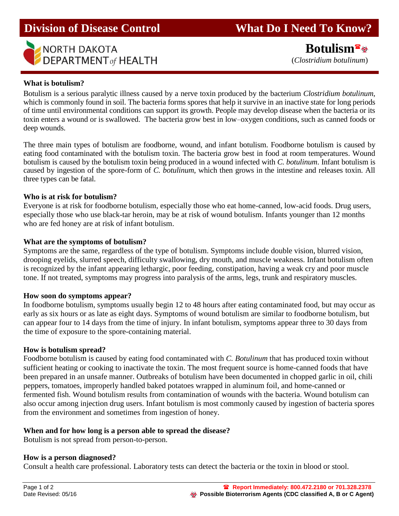

**Division of Disease Control What Do I Need To Know?** 

 **Botulism** (*Clostridium botulinum*)

### **What is botulism?**

Botulism is a serious paralytic illness caused by a nerve toxin produced by the bacterium *Clostridium botulinum*, which is commonly found in soil. The bacteria forms spores that help it survive in an inactive state for long periods of time until environmental conditions can support its growth. People may develop disease when the bacteria or its toxin enters a wound or is swallowed. The bacteria grow best in low–oxygen conditions, such as canned foods or deep wounds.

The three main types of botulism are foodborne, wound, and infant botulism. Foodborne botulism is caused by eating food contaminated with the botulism toxin. The bacteria grow best in food at room temperatures. Wound botulism is caused by the botulism toxin being produced in a wound infected with *C. botulinum*. Infant botulism is caused by ingestion of the spore-form of *C. botulinum*, which then grows in the intestine and releases toxin. All three types can be fatal.

### **Who is at risk for botulism?**

Everyone is at risk for foodborne botulism, especially those who eat home-canned, low-acid foods. Drug users, especially those who use black-tar heroin, may be at risk of wound botulism. Infants younger than 12 months who are fed honey are at risk of infant botulism.

# **What are the symptoms of botulism?**

Symptoms are the same, regardless of the type of botulism. Symptoms include double vision, blurred vision, drooping eyelids, slurred speech, difficulty swallowing, dry mouth, and muscle weakness. Infant botulism often is recognized by the infant appearing lethargic, poor feeding, constipation, having a weak cry and poor muscle tone. If not treated, symptoms may progress into paralysis of the arms, legs, trunk and respiratory muscles.

### **How soon do symptoms appear?**

In foodborne botulism, symptoms usually begin 12 to 48 hours after eating contaminated food, but may occur as early as six hours or as late as eight days. Symptoms of wound botulism are similar to foodborne botulism, but can appear four to 14 days from the time of injury. In infant botulism, symptoms appear three to 30 days from the time of exposure to the spore-containing material.

### **How is botulism spread?**

Foodborne botulism is caused by eating food contaminated with *C. Botulinum* that has produced toxin without sufficient heating or cooking to inactivate the toxin. The most frequent source is home-canned foods that have been prepared in an unsafe manner. Outbreaks of botulism have been documented in chopped garlic in oil, chili peppers, tomatoes, improperly handled baked potatoes wrapped in aluminum foil, and home-canned or fermented fish. Wound botulism results from contamination of wounds with the bacteria. Wound botulism can also occur among injection drug users. Infant botulism is most commonly caused by ingestion of bacteria spores from the environment and sometimes from ingestion of honey.

### **When and for how long is a person able to spread the disease?**

Botulism is not spread from person-to-person.

### **How is a person diagnosed?**

Consult a health care professional. Laboratory tests can detect the bacteria or the toxin in blood or stool.